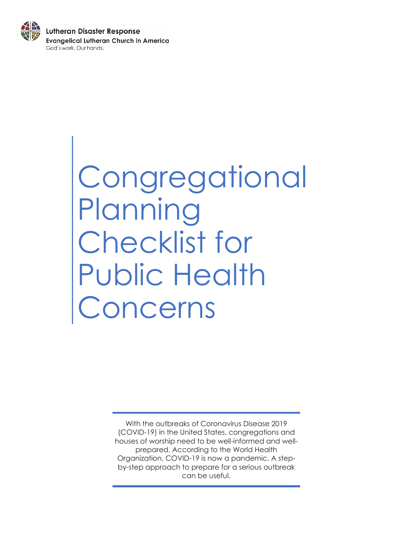

# **Congregational** Planning Checklist for Public Health Concerns

With the outbreaks of Coronavirus Disease 2019 (COVID-19) in the United States, congregations and houses of worship need to be well-informed and wellprepared. According to the World Health Organization, COVID-19 is now a pandemic. A stepby-step approach to prepare for a serious outbreak can be useful.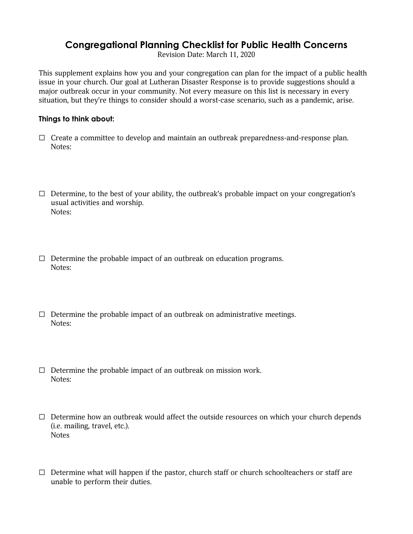# **Congregational Planning Checklist for Public Health Concerns**

Revision Date: March 11, 2020

This supplement explains how you and your congregation can plan for the impact of a public health issue in your church. Our goal at Lutheran Disaster Response is to provide suggestions should a major outbreak occur in your community. Not every measure on this list is necessary in every situation, but they're things to consider should a worst-case scenario, such as a pandemic, arise.

#### **Things to think about:**

- $\Box$  Create a committee to develop and maintain an outbreak preparedness-and-response plan. Notes:
- $\Box$  Determine, to the best of your ability, the outbreak's probable impact on your congregation's usual activities and worship. Notes:
- $\Box$  Determine the probable impact of an outbreak on education programs. Notes:
- $\Box$  Determine the probable impact of an outbreak on administrative meetings. Notes:
- $\Box$  Determine the probable impact of an outbreak on mission work. Notes:
- $\Box$  Determine how an outbreak would affect the outside resources on which your church depends (i.e. mailing, travel, etc.). Notes
- $\Box$  Determine what will happen if the pastor, church staff or church schoolteachers or staff are unable to perform their duties.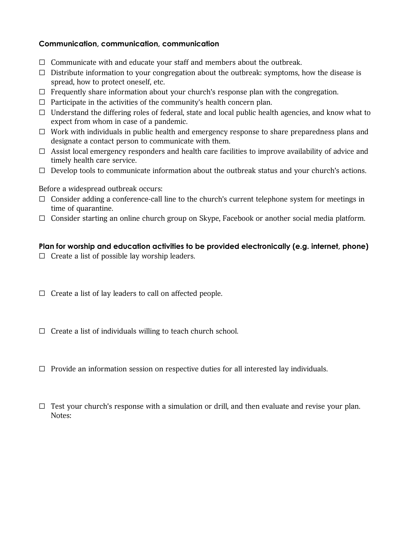#### **Communication, communication, communication**

- ☐ Communicate with and educate your staff and members about the outbreak.
- $\Box$  Distribute information to your congregation about the outbreak: symptoms, how the disease is spread, how to protect oneself, etc.
- $\Box$  Frequently share information about your church's response plan with the congregation.
- $\Box$  Participate in the activities of the community's health concern plan.
- $\Box$  Understand the differing roles of federal, state and local public health agencies, and know what to expect from whom in case of a pandemic.
- ☐ Work with individuals in public health and emergency response to share preparedness plans and designate a contact person to communicate with them.
- $\Box$  Assist local emergency responders and health care facilities to improve availability of advice and timely health care service.
- $\Box$  Develop tools to communicate information about the outbreak status and your church's actions.

Before a widespread outbreak occurs:

- ☐ Consider adding a conference-call line to the church's current telephone system for meetings in time of quarantine.
- ☐ Consider starting an online church group on Skype, Facebook or another social media platform.

#### **Plan for worship and education activities to be provided electronically (e.g. internet, phone)**

- $\Box$  Create a list of possible lay worship leaders.
- $\Box$  Create a list of lay leaders to call on affected people.
- $\Box$  Create a list of individuals willing to teach church school.
- $\Box$  Provide an information session on respective duties for all interested lay individuals.
- $\Box$  Test your church's response with a simulation or drill, and then evaluate and revise your plan. Notes: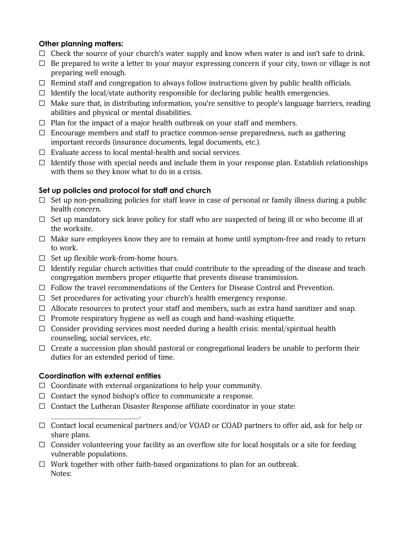## **Other planning matters:**

- $\Box$  Check the source of your church's water supply and know when water is and isn't safe to drink.
- $\Box$  Be prepared to write a letter to your mayor expressing concern if your city, town or village is not preparing well enough.
- $\Box$  Remind staff and congregation to always follow instructions given by public health officials.
- $\Box$  Identify the local/state authority responsible for declaring public health emergencies.
- $\Box$  Make sure that, in distributing information, you're sensitive to people's language barriers, reading abilities and physical or mental disabilities.
- $\Box$  Plan for the impact of a major health outbreak on your staff and members.
- $\Box$  Encourage members and staff to practice common-sense preparedness, such as gathering important records (insurance documents, legal documents, etc.).
- ☐ Evaluate access to local mental-health and social services.
- $\Box$  Identify those with special needs and include them in your response plan. Establish relationships with them so they know what to do in a crisis.

## **Set up policies and protocol for staff and church**

- $\Box$  Set up non-penalizing policies for staff leave in case of personal or family illness during a public health concern.
- $\Box$  Set up mandatory sick leave policy for staff who are suspected of being ill or who become ill at the worksite.
- $\Box$  Make sure employees know they are to remain at home until symptom-free and ready to return to work.
- ☐ Set up flexible work-from-home hours.
- $\Box$  Identify regular church activities that could contribute to the spreading of the disease and teach congregation members proper etiquette that prevents disease transmission.
- ☐ Follow the travel recommendations of the Centers for Disease Control and Prevention.
- $\Box$  Set procedures for activating your church's health emergency response.
- $\Box$  Allocate resources to protect your staff and members, such as extra hand sanitizer and soap.
- ☐ Promote respiratory hygiene as well as cough and hand-washing etiquette.
- $\Box$  Consider providing services most needed during a health crisis: mental/spiritual health counseling, social services, etc.
- $\Box$  Create a succession plan should pastoral or congregational leaders be unable to perform their duties for an extended period of time.

# **Coordination with external entities**

 $\overline{\phantom{a}}$  , where  $\overline{\phantom{a}}$  , where  $\overline{\phantom{a}}$  , where  $\overline{\phantom{a}}$ 

- ☐ Coordinate with external organizations to help your community.
- ☐ Contact the synod bishop's office to communicate a response.
- $\Box$  Contact the Lutheran Disaster Response affiliate coordinator in your state:
- ☐ Contact local ecumenical partners and/or VOAD or COAD partners to offer aid, ask for help or share plans.
- □ Consider volunteering your facility as an overflow site for local hospitals or a site for feeding vulnerable populations.
- $\Box$  Work together with other faith-based organizations to plan for an outbreak. Notes: